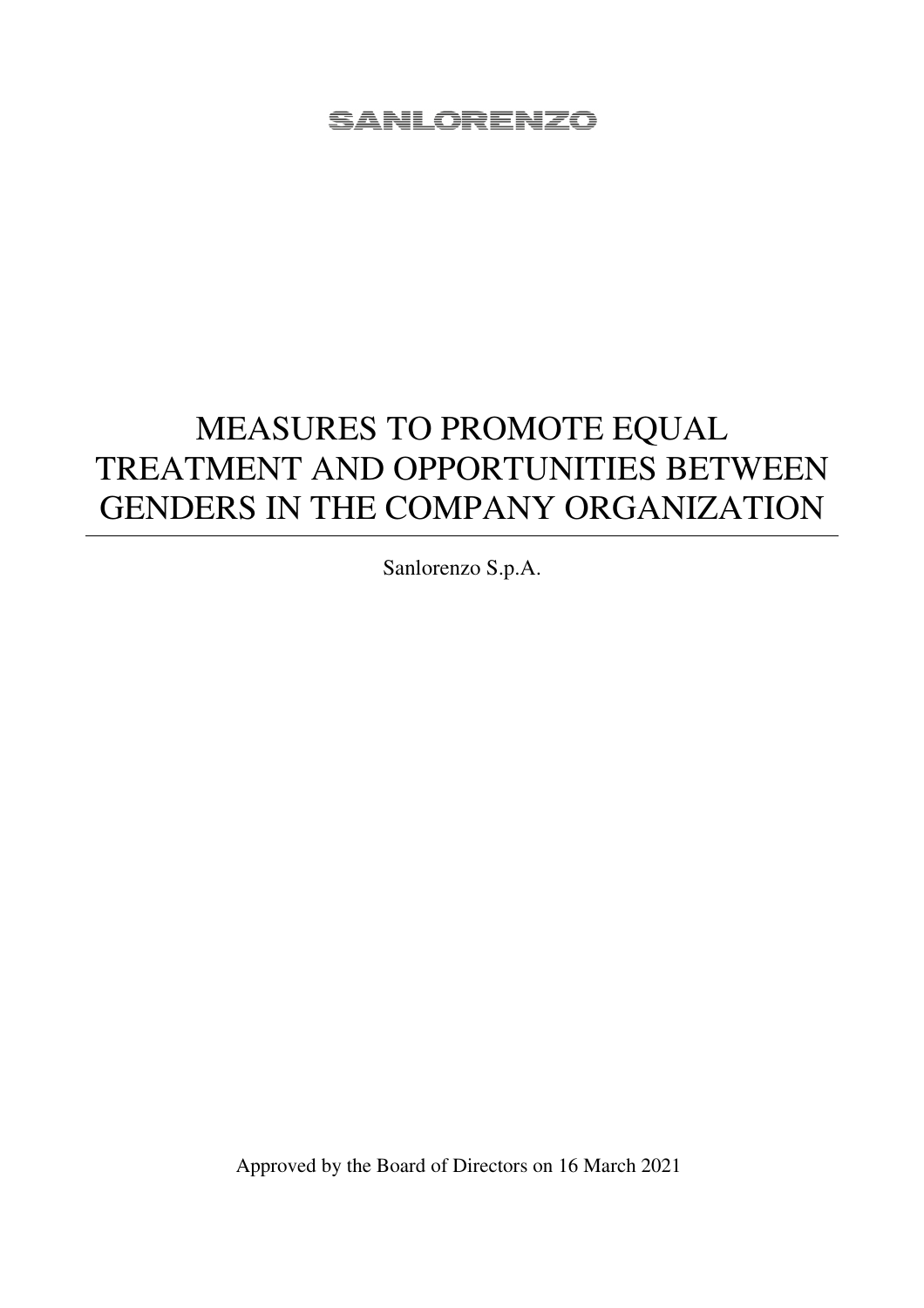## MEASURES TO PROMOTE EQUAL TREATMENT AND OPPORTUNITIES BETWEEN GENDERS IN THE COMPANY ORGANIZATION

Sanlorenzo S.p.A.

Approved by the Board of Directors on 16 March 2021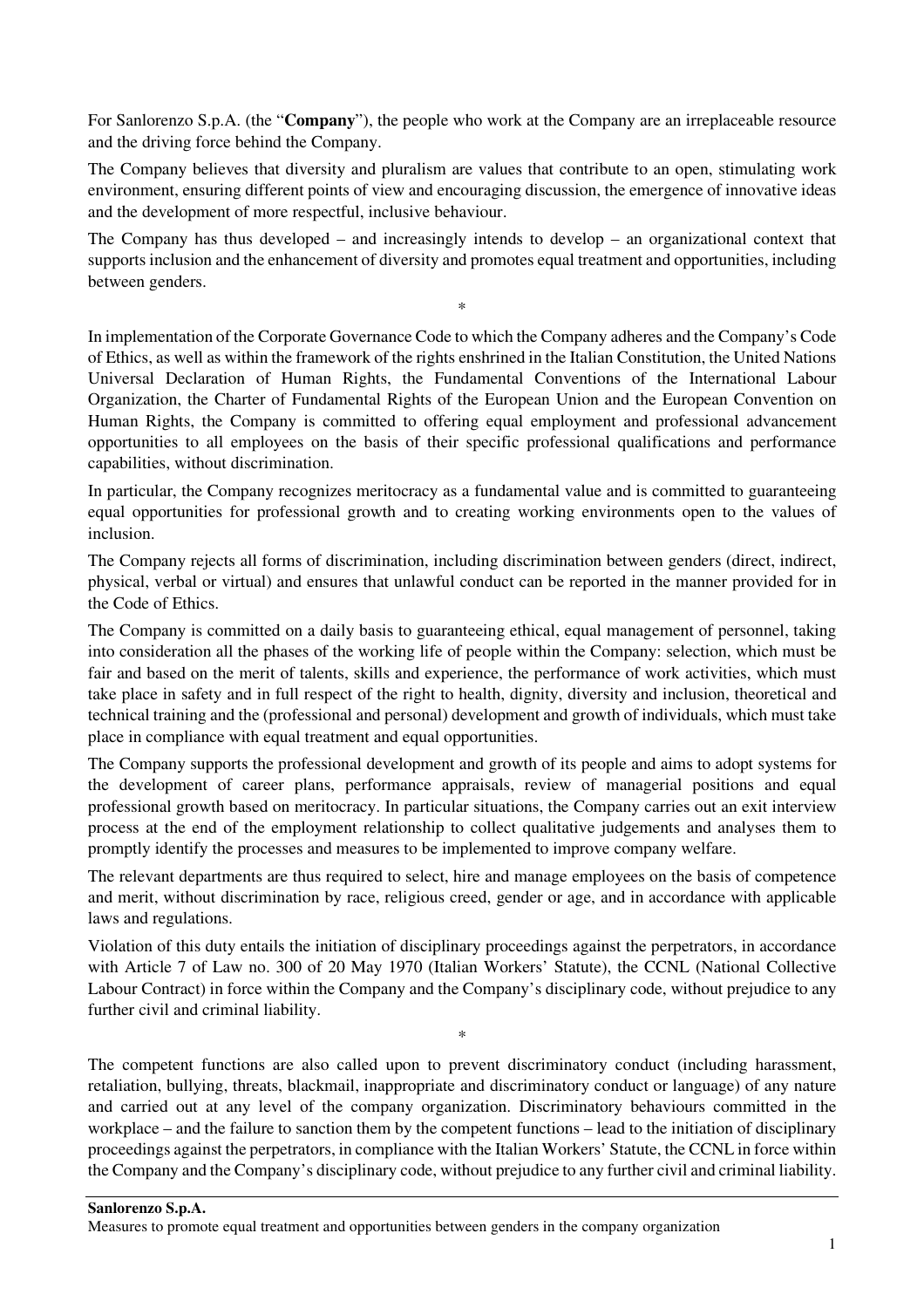For Sanlorenzo S.p.A. (the "**Company**"), the people who work at the Company are an irreplaceable resource and the driving force behind the Company.

The Company believes that diversity and pluralism are values that contribute to an open, stimulating work environment, ensuring different points of view and encouraging discussion, the emergence of innovative ideas and the development of more respectful, inclusive behaviour.

The Company has thus developed – and increasingly intends to develop – an organizational context that supports inclusion and the enhancement of diversity and promotes equal treatment and opportunities, including between genders.

\*

In implementation of the Corporate Governance Code to which the Company adheres and the Company's Code of Ethics, as well as within the framework of the rights enshrined in the Italian Constitution, the United Nations Universal Declaration of Human Rights, the Fundamental Conventions of the International Labour Organization, the Charter of Fundamental Rights of the European Union and the European Convention on Human Rights, the Company is committed to offering equal employment and professional advancement opportunities to all employees on the basis of their specific professional qualifications and performance capabilities, without discrimination.

In particular, the Company recognizes meritocracy as a fundamental value and is committed to guaranteeing equal opportunities for professional growth and to creating working environments open to the values of inclusion.

The Company rejects all forms of discrimination, including discrimination between genders (direct, indirect, physical, verbal or virtual) and ensures that unlawful conduct can be reported in the manner provided for in the Code of Ethics.

The Company is committed on a daily basis to guaranteeing ethical, equal management of personnel, taking into consideration all the phases of the working life of people within the Company: selection, which must be fair and based on the merit of talents, skills and experience, the performance of work activities, which must take place in safety and in full respect of the right to health, dignity, diversity and inclusion, theoretical and technical training and the (professional and personal) development and growth of individuals, which must take place in compliance with equal treatment and equal opportunities.

The Company supports the professional development and growth of its people and aims to adopt systems for the development of career plans, performance appraisals, review of managerial positions and equal professional growth based on meritocracy. In particular situations, the Company carries out an exit interview process at the end of the employment relationship to collect qualitative judgements and analyses them to promptly identify the processes and measures to be implemented to improve company welfare.

The relevant departments are thus required to select, hire and manage employees on the basis of competence and merit, without discrimination by race, religious creed, gender or age, and in accordance with applicable laws and regulations.

Violation of this duty entails the initiation of disciplinary proceedings against the perpetrators, in accordance with Article 7 of Law no. 300 of 20 May 1970 (Italian Workers' Statute), the CCNL (National Collective Labour Contract) in force within the Company and the Company's disciplinary code, without prejudice to any further civil and criminal liability.

\*

The competent functions are also called upon to prevent discriminatory conduct (including harassment, retaliation, bullying, threats, blackmail, inappropriate and discriminatory conduct or language) of any nature and carried out at any level of the company organization. Discriminatory behaviours committed in the workplace – and the failure to sanction them by the competent functions – lead to the initiation of disciplinary proceedings against the perpetrators, in compliance with the Italian Workers' Statute, the CCNL in force within the Company and the Company's disciplinary code, without prejudice to any further civil and criminal liability.

Measures to promote equal treatment and opportunities between genders in the company organization